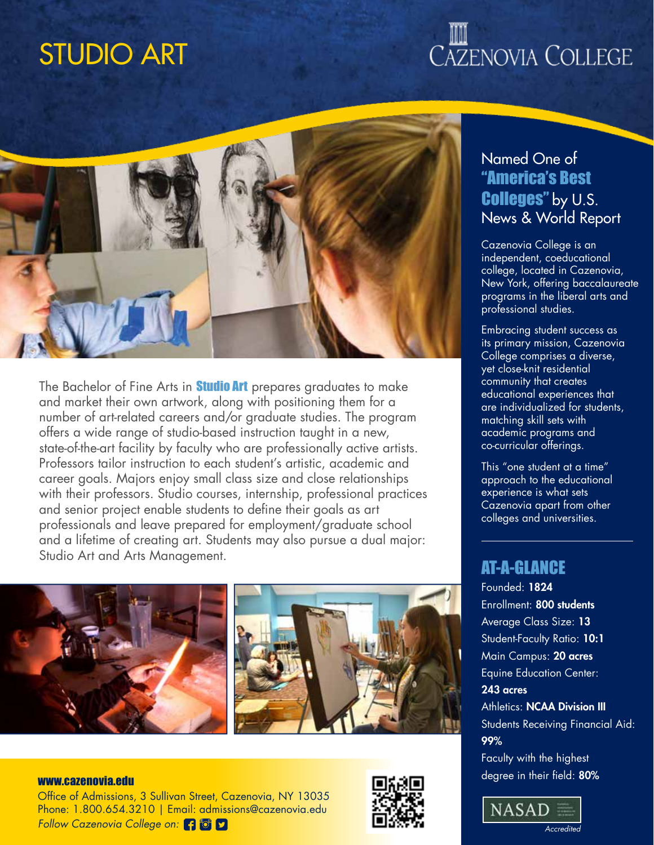## STUDIO ART

# CAZENOVIA COLLEGE



The Bachelor of Fine Arts in **Studio Art** prepares graduates to make and market their own artwork, along with positioning them for a number of art-related careers and/or graduate studies. The program offers a wide range of studio-based instruction taught in a new, state-of-the-art facility by faculty who are professionally active artists. Professors tailor instruction to each student's artistic, academic and career goals. Majors enjoy small class size and close relationships with their professors. Studio courses, internship, professional practices and senior project enable students to define their goals as art professionals and leave prepared for employment/graduate school and a lifetime of creating art. Students may also pursue a dual major: Studio Art and Arts Management.



Office of Admissions, 3 Sullivan Street, Cazenovia, NY 13035 Phone: 1.800.654.3210 | Email: admissions@cazenovia.edu *Follow Cazenovia College on:*



## Named One of "America's Best Colleges" by U.S. News & World Report

Cazenovia College is an independent, coeducational college, located in Cazenovia, New York, offering baccalaureate programs in the liberal arts and professional studies.

Embracing student success as its primary mission, Cazenovia College comprises a diverse, yet close-knit residential community that creates educational experiences that are individualized for students, matching skill sets with academic programs and co-curricular offerings.

This "one student at a time" approach to the educational experience is what sets Cazenovia apart from other colleges and universities.

## AT-A-GLANCE

Founded: 1824 Enrollment: 800 students Average Class Size: 13 Student-Faculty Ratio: 10:1 Main Campus: 20 acres Equine Education Center: 243 acres **Athletics: NCAA Division III** Students Receiving Financial Aid: 99% Faculty with the highest

www.cazenovia.edu www.cazenovia.edu www.cazenovia.edu www.cazenovia.edu www.cazenovia.edu 80%